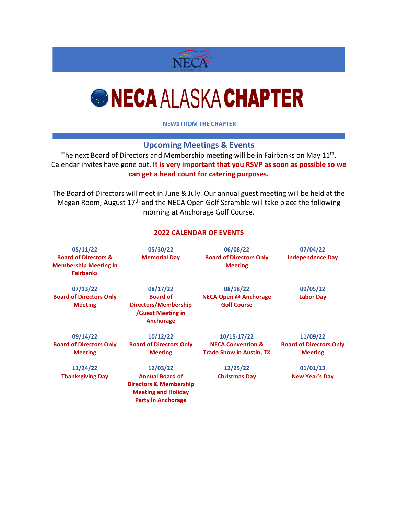

## *GNECA ALASKA CHAPTER*

**NEWS FROM THE CHAPTER** 

## **Upcoming Meetings & Events**

The next Board of Directors and Membership meeting will be in Fairbanks on May 11<sup>th</sup>. Calendar invites have gone out. **It is very important that you RSVP as soon as possible so we can get a head count for catering purposes.**

The Board of Directors will meet in June & July. Our annual guest meeting will be held at the Megan Room, August 17th and the NECA Open Golf Scramble will take place the following morning at Anchorage Golf Course.

## **2022 CALENDAR OF EVENTS**

| 05/11/22<br><b>Board of Directors &amp;</b><br><b>Membership Meeting in</b> | 05/30/22<br><b>Memorial Day</b>                                                                                        | 06/08/22<br><b>Board of Directors Only</b><br><b>Meeting</b> | 07/04/22<br><b>Independence Day</b> |
|-----------------------------------------------------------------------------|------------------------------------------------------------------------------------------------------------------------|--------------------------------------------------------------|-------------------------------------|
| <b>Fairbanks</b>                                                            |                                                                                                                        |                                                              |                                     |
| 07/13/22                                                                    | 08/17/22                                                                                                               | 08/18/22                                                     | 09/05/22                            |
| <b>Board of Directors Only</b><br><b>Meeting</b>                            | <b>Board of</b><br><b>Directors/Membership</b><br><b>/Guest Meeting in</b><br><b>Anchorage</b>                         | <b>NECA Open @ Anchorage</b><br><b>Golf Course</b>           | <b>Labor Day</b>                    |
| 09/14/22                                                                    | 10/12/22                                                                                                               | $10/15 - 17/22$                                              | 11/09/22                            |
| <b>Board of Directors Only</b>                                              | <b>Board of Directors Only</b>                                                                                         | <b>NECA Convention &amp;</b>                                 | <b>Board of Directors Only</b>      |
| <b>Meeting</b>                                                              | <b>Meeting</b>                                                                                                         | <b>Trade Show in Austin, TX</b>                              | <b>Meeting</b>                      |
| 11/24/22                                                                    | 12/03/22                                                                                                               | 12/25/22                                                     | 01/01/23                            |
| <b>Thanksgiving Day</b>                                                     | <b>Annual Board of</b><br><b>Directors &amp; Membership</b><br><b>Meeting and Holiday</b><br><b>Party in Anchorage</b> | <b>Christmas Day</b>                                         | <b>New Year's Day</b>               |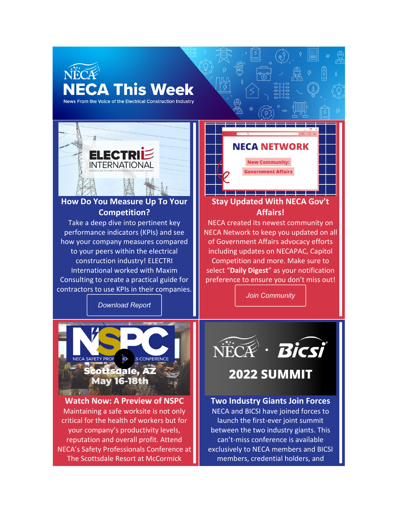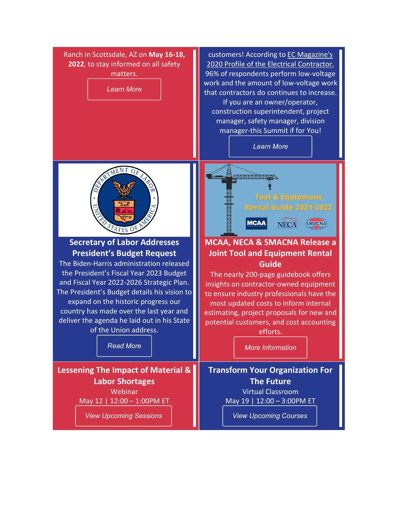